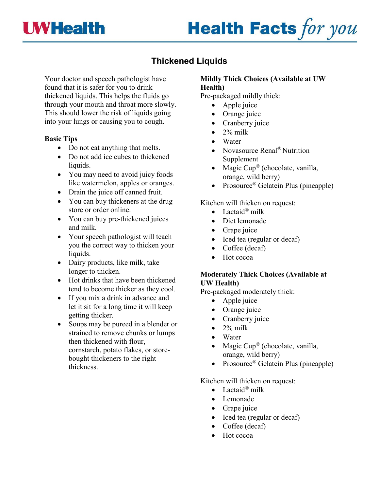

# **Health Facts for you**

# **Thickened Liquids**

Your doctor and speech pathologist have found that it is safer for you to drink thickened liquids. This helps the fluids go through your mouth and throat more slowly. This should lower the risk of liquids going into your lungs or causing you to cough.

#### **Basic Tips**

- Do not eat anything that melts.
- Do not add ice cubes to thickened liquids.
- You may need to avoid juicy foods like watermelon, apples or oranges.
- Drain the juice off canned fruit.
- You can buy thickeners at the drug store or order online.
- You can buy pre-thickened juices and milk.
- Your speech pathologist will teach you the correct way to thicken your liquids.
- Dairy products, like milk, take longer to thicken.
- Hot drinks that have been thickened tend to become thicker as they cool.
- If you mix a drink in advance and let it sit for a long time it will keep getting thicker.
- Soups may be pureed in a blender or strained to remove chunks or lumps then thickened with flour, cornstarch, potato flakes, or storebought thickeners to the right thickness.

## **Mildly Thick Choices (Available at UW Health)**

Pre-packaged mildly thick:

- Apple juice
- Orange juice
- Cranberry juice
- $\bullet$  2% milk
- Water
- Novasource Renal<sup>®</sup> Nutrition Supplement
- Magic  $Cup^{\circledR}$  (chocolate, vanilla, orange, wild berry)
- Prosource<sup>®</sup> Gelatein Plus (pineapple)

#### Kitchen will thicken on request:

- Lactaid<sup>®</sup> milk
- Diet lemonade
- Grape juice
- Iced tea (regular or decaf)
- Coffee (decaf)
- Hot cocoa

#### **Moderately Thick Choices (Available at UW Health)**

Pre-packaged moderately thick:

- Apple juice
- Orange juice
- Cranberry juice
- $\bullet$  2% milk
- Water
- Magic  $Cup^{\circledR}$  (chocolate, vanilla, orange, wild berry)
- Prosource<sup>®</sup> Gelatein Plus (pineapple)

Kitchen will thicken on request:

- Lactaid<sup>®</sup> milk
- Lemonade
- Grape juice
- Iced tea (regular or decaf)
- Coffee (decaf)
- Hot cocoa